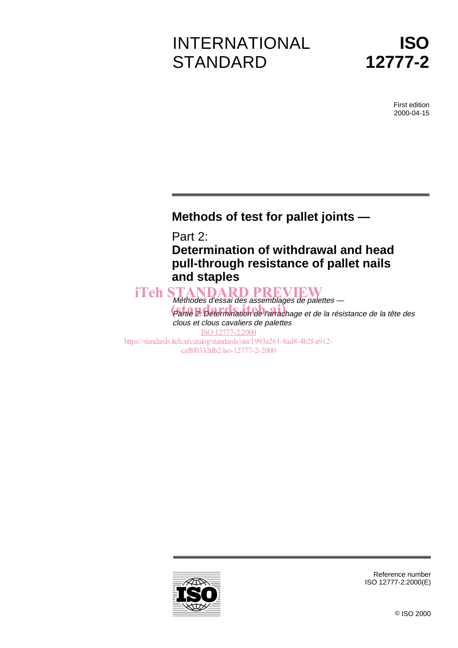# INTERNATIONAL **STANDARD**



First edition 2000-04-15

### **Methods of test for pallet joints —**

Part 2:

**Determination of withdrawal and head pull-through resistance of pallet nails and staples**

Méthodes d'essai des assemblages de palettes — iTeh STANDARD PREVIEW memodes à essai des assemblages de palences<br>Cartie 2: Détermination de l'arrachage et de la résistance de la tête des clous et clous cavaliers de palettes ISO 12777-2:2000 https://standards.iteh.ai/catalog/standards/sist/1993a261-8ad8-4b2f-a912 caf8f0332db2/iso-12777-2-2000



Reference number ISO 12777-2:2000(E)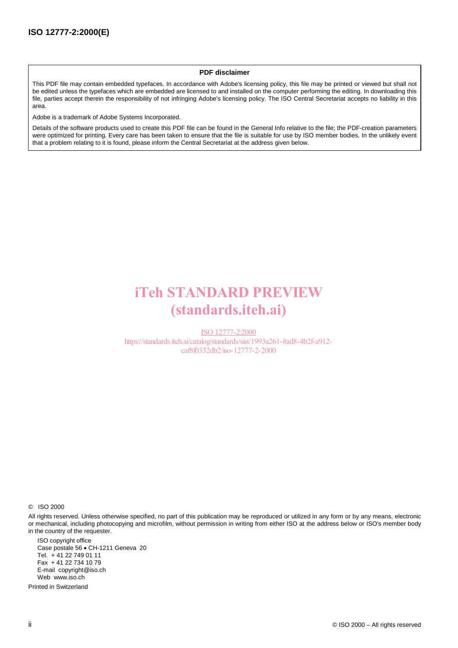#### **PDF disclaimer**

This PDF file may contain embedded typefaces. In accordance with Adobe's licensing policy, this file may be printed or viewed but shall not be edited unless the typefaces which are embedded are licensed to and installed on the computer performing the editing. In downloading this file, parties accept therein the responsibility of not infringing Adobe's licensing policy. The ISO Central Secretariat accepts no liability in this area.

Adobe is a trademark of Adobe Systems Incorporated.

Details of the software products used to create this PDF file can be found in the General Info relative to the file; the PDF-creation parameters were optimized for printing. Every care has been taken to ensure that the file is suitable for use by ISO member bodies. In the unlikely event that a problem relating to it is found, please inform the Central Secretariat at the address given below.

## iTeh STANDARD PREVIEW (standards.iteh.ai)

ISO 12777-2:2000 https://standards.iteh.ai/catalog/standards/sist/1993a261-8ad8-4b2f-a912 caf8f0332db2/iso-12777-2-2000

© ISO 2000

All rights reserved. Unless otherwise specified, no part of this publication may be reproduced or utilized in any form or by any means, electronic or mechanical, including photocopying and microfilm, without permission in writing from either ISO at the address below or ISO's member body in the country of the requester.

ISO copyright office Case postale 56 · CH-1211 Geneva 20 Tel. + 41 22 749 01 11 Fax + 41 22 734 10 79 E-mail copyright@iso.ch Web www.iso.ch

Printed in Switzerland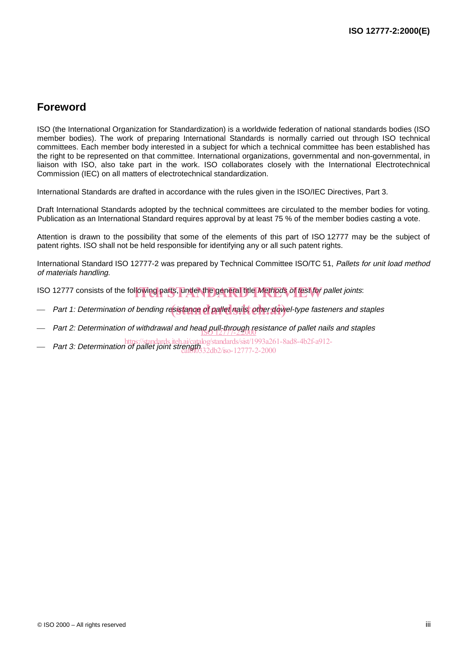### **Foreword**

ISO (the International Organization for Standardization) is a worldwide federation of national standards bodies (ISO member bodies). The work of preparing International Standards is normally carried out through ISO technical committees. Each member body interested in a subject for which a technical committee has been established has the right to be represented on that committee. International organizations, governmental and non-governmental, in liaison with ISO, also take part in the work. ISO collaborates closely with the International Electrotechnical Commission (IEC) on all matters of electrotechnical standardization.

International Standards are drafted in accordance with the rules given in the ISO/IEC Directives, Part 3.

Draft International Standards adopted by the technical committees are circulated to the member bodies for voting. Publication as an International Standard requires approval by at least 75 % of the member bodies casting a vote.

Attention is drawn to the possibility that some of the elements of this part of ISO 12777 may be the subject of patent rights. ISO shall not be held responsible for identifying any or all such patent rights.

International Standard ISO 12777-2 was prepared by Technical Committee ISO/TC 51, Pallets for unit load method of materials handling.

ISO 12777 consists of the following parts, under the general title Methods of test for pallet joints:

- Part 1: Determination of bending re<mark>sistance of pallet nails, other dow</mark>el-type fasteners and staples
- Part 2: Determination of withdrawal and head pull-through resistance of pallet nails and staples
- https://standards.iteh.ai/catalog/standards/sist/1993a261-8ad8-4b2f-a912-<br>Part 3: Determination of pallet joint strength, 224b2 (so 12777-2, 2000)
- caf8f0332db2/iso-12777-2-2000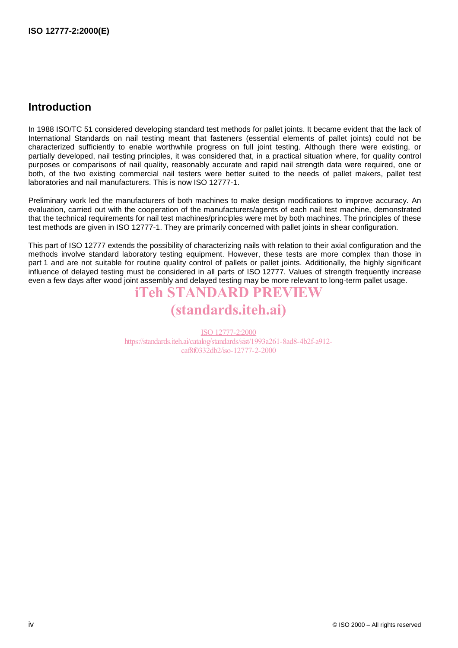### **Introduction**

In 1988 ISO/TC 51 considered developing standard test methods for pallet joints. It became evident that the lack of International Standards on nail testing meant that fasteners (essential elements of pallet joints) could not be characterized sufficiently to enable worthwhile progress on full joint testing. Although there were existing, or partially developed, nail testing principles, it was considered that, in a practical situation where, for quality control purposes or comparisons of nail quality, reasonably accurate and rapid nail strength data were required, one or both, of the two existing commercial nail testers were better suited to the needs of pallet makers, pallet test laboratories and nail manufacturers. This is now ISO 12777-1.

Preliminary work led the manufacturers of both machines to make design modifications to improve accuracy. An evaluation, carried out with the cooperation of the manufacturers/agents of each nail test machine, demonstrated that the technical requirements for nail test machines/principles were met by both machines. The principles of these test methods are given in ISO 12777-1. They are primarily concerned with pallet joints in shear configuration.

This part of ISO 12777 extends the possibility of characterizing nails with relation to their axial configuration and the methods involve standard laboratory testing equipment. However, these tests are more complex than those in part 1 and are not suitable for routine quality control of pallets or pallet joints. Additionally, the highly significant influence of delayed testing must be considered in all parts of ISO 12777. Values of strength frequently increase even a few days after wood joint assembly and delayed testing may be more relevant to long-term pallet usage.

## iTeh STANDARD PREVIEW

## (standards.iteh.ai)

ISO 12777-2:2000 https://standards.iteh.ai/catalog/standards/sist/1993a261-8ad8-4b2f-a912 caf8f0332db2/iso-12777-2-2000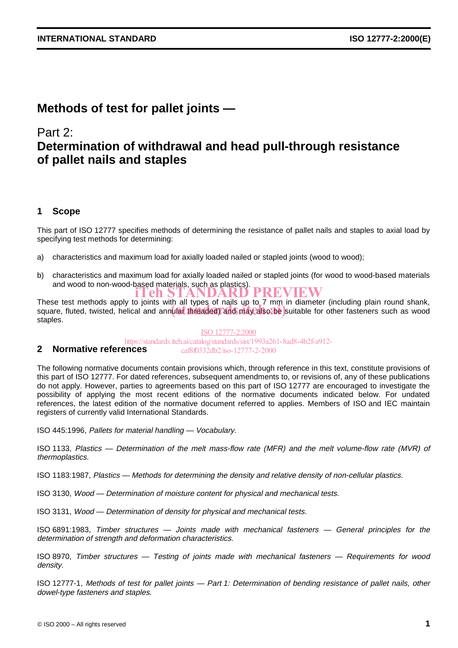### **Methods of test for pallet joints —**

### Part 2:

### **Determination of withdrawal and head pull-through resistance of pallet nails and staples**

#### **1 Scope**

This part of ISO 12777 specifies methods of determining the resistance of pallet nails and staples to axial load by specifying test methods for determining:

- a) characteristics and maximum load for axially loaded nailed or stapled joints (wood to wood);
- b) characteristics and maximum load for axially loaded nailed or stapled joints (for wood to wood-based materials and wood to non-wood-based materials, such as plastics). iTeh STANDARD PREVIEW

These test methods apply to joints with all types of nails up to 7 mm in diameter (including plain round shank, These test methods apply to joints with all types of hairs up to 7 min in diameter (including plain found sharik,<br>square, fluted, twisted, helical and annular threaded) and may also be suitable for other fasteners such as staples.

**2 Normative references** ISO 12777-2:2000 https://standards.iteh.ai/catalog/standards/sist/1993a261-8ad8-4b2f-a912 caf8f0332db2/iso-12777-2-2000

#### The following normative documents contain provisions which, through reference in this text, constitute provisions of this part of ISO 12777. For dated references, subsequent amendments to, or revisions of, any of these publications do not apply. However, parties to agreements based on this part of ISO 12777 are encouraged to investigate the possibility of applying the most recent editions of the normative documents indicated below. For undated references, the latest edition of the normative document referred to applies. Members of ISO and IEC maintain registers of currently valid International Standards.

ISO 445:1996, Pallets for material handling — Vocabulary.

ISO 1133, Plastics — Determination of the melt mass-flow rate (MFR) and the melt volume-flow rate (MVR) of thermoplastics.

ISO 1183:1987, Plastics — Methods for determining the density and relative density of non-cellular plastics.

ISO 3130, Wood — Determination of moisture content for physical and mechanical tests.

ISO 3131, Wood — Determination of density for physical and mechanical tests.

ISO 6891:1983, Timber structures — Joints made with mechanical fasteners — General principles for the determination of strength and deformation characteristics.

ISO 8970, Timber structures — Testing of joints made with mechanical fasteners — Requirements for wood density.

ISO 12777-1, Methods of test for pallet joints — Part 1: Determination of bending resistance of pallet nails, other dowel-type fasteners and staples.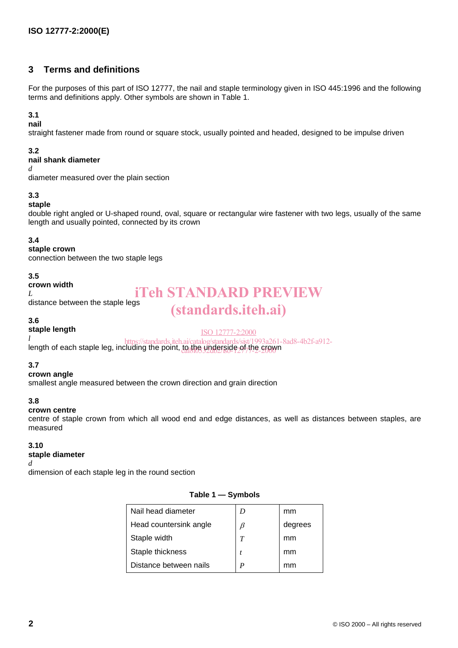#### **3 Terms and definitions**

For the purposes of this part of ISO 12777, the nail and staple terminology given in ISO 445:1996 and the following terms and definitions apply. Other symbols are shown in Table 1.

#### **3.1**

**nail**

straight fastener made from round or square stock, usually pointed and headed, designed to be impulse driven

#### **3.2**

#### **nail shank diameter**

*d*

diameter measured over the plain section

#### **3.3**

#### **staple**

double right angled or U-shaped round, oval, square or rectangular wire fastener with two legs, usually of the same length and usually pointed, connected by its crown

#### **3.4**

#### **staple crown**

connection between the two staple legs

#### **3.5**

#### **crown width**

*L* distance between the staple legs

## iTeh STANDARD PREVIEW (standards.iteh.ai)

#### ISO 12777-2:2000

*l* length of each staple leg, including the point, <u>to the underside of the cro</u>wn https://standards/sit/1993a261-8ad8-4b2f-a912-

#### **3.7**

**3.6**

#### **crown angle**

**staple length**

smallest angle measured between the crown direction and grain direction

#### **3.8**

#### **crown centre**

centre of staple crown from which all wood end and edge distances, as well as distances between staples, are measured

#### **3.10**

#### **staple diameter**

#### *d*

dimension of each staple leg in the round section

#### **Table 1 — Symbols**

| Nail head diameter     | D                | mm      |
|------------------------|------------------|---------|
| Head countersink angle | β                | degrees |
| Staple width           | T                | mm      |
| Staple thickness       |                  | mm      |
| Distance between nails | $\boldsymbol{P}$ |         |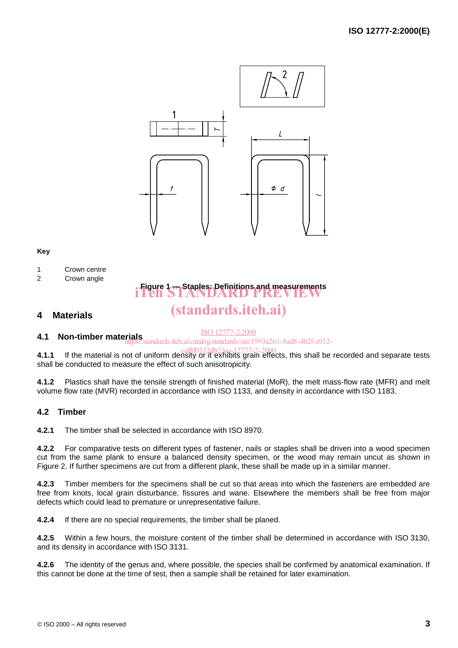

#### **Key**

- 1 Crown centre
- 2 Crown angle

## **Figure 1 — Staples: Definitions and measurements** iTeh STANDARD PREVIEW (standards.iteh.ai)

#### **4 Materials**

#### ISO 12777-2:2000

**4.1 Non-timber materials** https://standards.iteh.ai/catalog/standards/sist/1993a261-8ad8-4b2f-a912-

**4.1.1** If the material is not of uniform density or it exhibits grain effects, this shall be recorded and separate tests shall be conducted to measure the effect of such anisotropicity.

**4.1.2** Plastics shall have the tensile strength of finished material (MoR), the melt mass-flow rate (MFR) and melt volume flow rate (MVR) recorded in accordance with ISO 1133, and density in accordance with ISO 1183.

#### **4.2 Timber**

**4.2.1** The timber shall be selected in accordance with ISO 8970.

**4.2.2** For comparative tests on different types of fastener, nails or staples shall be driven into a wood specimen cut from the same plank to ensure a balanced density specimen, or the wood may remain uncut as shown in Figure 2. If further specimens are cut from a different plank, these shall be made up in a similar manner.

**4.2.3** Timber members for the specimens shall be cut so that areas into which the fasteners are embedded are free from knots, local grain disturbance, fissures and wane. Elsewhere the members shall be free from major defects which could lead to premature or unrepresentative failure.

**4.2.4** If there are no special requirements, the timber shall be planed.

**4.2.5** Within a few hours, the moisture content of the timber shall be determined in accordance with ISO 3130, and its density in accordance with ISO 3131.

**4.2.6** The identity of the genus and, where possible, the species shall be confirmed by anatomical examination. If this cannot be done at the time of test, then a sample shall be retained for later examination.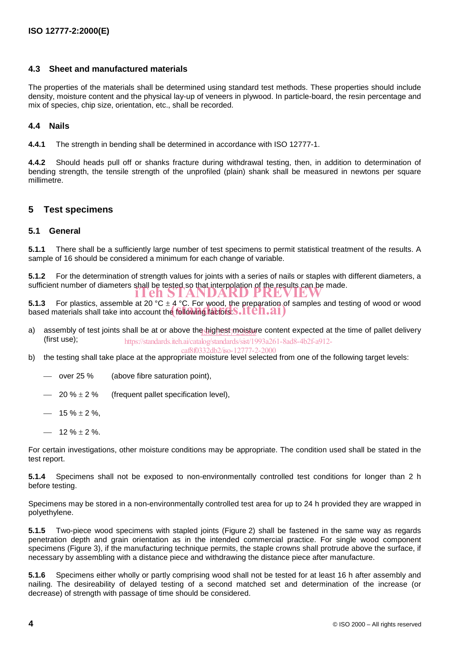#### **4.3 Sheet and manufactured materials**

The properties of the materials shall be determined using standard test methods. These properties should include density, moisture content and the physical lay-up of veneers in plywood. In particle-board, the resin percentage and mix of species, chip size, orientation, etc., shall be recorded.

#### **4.4 Nails**

**4.4.1** The strength in bending shall be determined in accordance with ISO 12777-1.

**4.4.2** Should heads pull off or shanks fracture during withdrawal testing, then, in addition to determination of bending strength, the tensile strength of the unprofiled (plain) shank shall be measured in newtons per square millimetre.

#### **5 Test specimens**

#### **5.1 General**

**5.1.1** There shall be a sufficiently large number of test specimens to permit statistical treatment of the results. A sample of 16 should be considered a minimum for each change of variable.

**5.1.2** For the determination of strength values for joints with a series of nails or staples with different diameters, a sufficient number of diameters shall be tested so that interpolation of the results can be made.<br> **iTeh STANDARD PREVIEW** 

**5.1.3** For plastics, assemble at 20 °C  $\pm$  4 °C. For wood, the preparation of samples and testing of wood or wood **5.1.3** For plastics, assemble at 20 °C  $\pm$  4 °C. For wood, the preparation of based materials shall take into account the following factors. **S.1 CH.21** 

a) assembly of test joints shall be at or above the highest moisture content expected at the time of pallet delivery (first use); https://standards.iteh.ai/catalog/standards/sist/1993a261-8ad8-4b2f-a912-

$$
caf8f0332db2/so-12777-2-2000
$$

- caf8f0332db2/iso-12777-2-2000<br>b) the testing shall take place at the appropriate moisture level selected from one of the following target levels:
	- $-$  over 25 % (above fibre saturation point),
	- $-20\% \pm 2\%$ (frequent pallet specification level),
	- $-$  15 %  $\pm$  2 %,
	- $-$  12 %  $\pm$  2 %.

For certain investigations, other moisture conditions may be appropriate. The condition used shall be stated in the test report.

**5.1.4** Specimens shall not be exposed to non-environmentally controlled test conditions for longer than 2 h before testing.

Specimens may be stored in a non-environmentally controlled test area for up to 24 h provided they are wrapped in polyethylene.

**5.1.5** Two-piece wood specimens with stapled joints (Figure 2) shall be fastened in the same way as regards penetration depth and grain orientation as in the intended commercial practice. For single wood component specimens (Figure 3), if the manufacturing technique permits, the staple crowns shall protrude above the surface, if necessary by assembling with a distance piece and withdrawing the distance piece after manufacture.

**5.1.6** Specimens either wholly or partly comprising wood shall not be tested for at least 16 h after assembly and nailing. The desireability of delayed testing of a second matched set and determination of the increase (or decrease) of strength with passage of time should be considered.